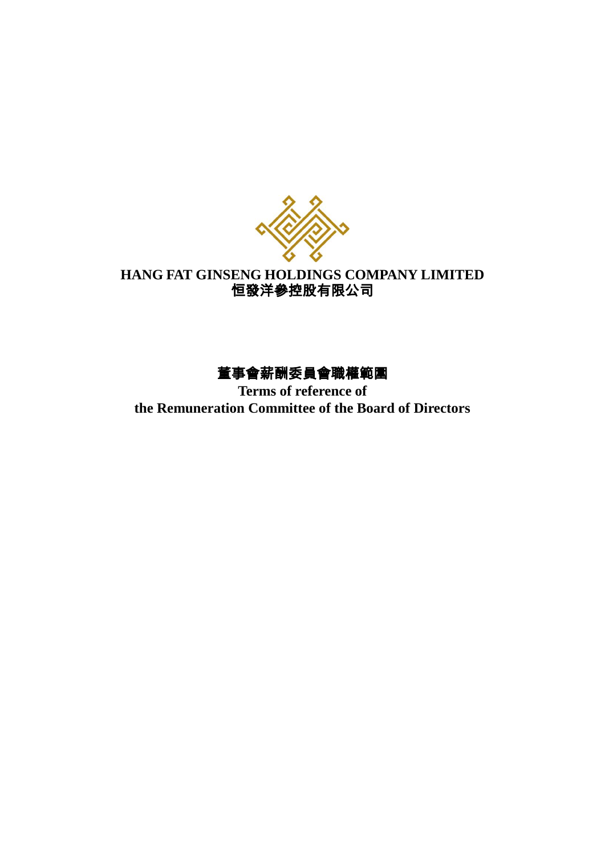

# **HANG FAT GINSENG HOLDINGS COMPANY LIMITED** 恒發洋參控股有限公司

# 董事會薪酬委員會職權範圍

**Terms of reference of the Remuneration Committee of the Board of Directors**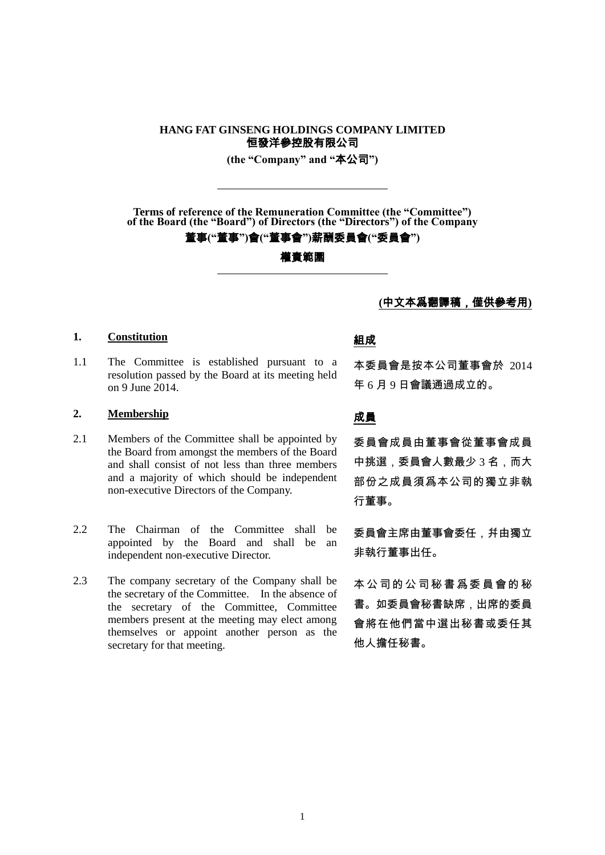## **HANG FAT GINSENG HOLDINGS COMPANY LIMITED** 恒發洋參控股有限公司

**(the "Company" and "**本公司**")**

**Terms of reference of the Remuneration Committee (the "Committee") of the Board (the "Board") of Directors (the "Directors") of the Company**

### 董事**("**董事**")**會**("**董事會**")**薪酬委員會**("**委員會**")**

權責範圍

### **(**中文本爲翻譯稿,僅供參考用**)**

## 1. <u>Constitution</u> and all the constitution and all the constitution and all the constitution and all the constitution

1.1 The Committee is established pursuant to a resolution passed by the Board at its meeting held on 9 June 2014.

## 2. <u>Membership</u> **2.** 文員

- 2.1 Members of the Committee shall be appointed by the Board from amongst the members of the Board and shall consist of not less than three members and a majority of which should be independent non-executive Directors of the Company.
- 2.2 The Chairman of the Committee shall be appointed by the Board and shall be an independent non-executive Director.
- 2.3 The company secretary of the Company shall be the secretary of the Committee. In the absence of the secretary of the Committee, Committee members present at the meeting may elect among themselves or appoint another person as the secretary for that meeting.

本委員會是按本公司董事會於 2014 年 6 月 9 日會議通過成立的。

委員會成員由董事會從董事會成員 中挑選,委員會人數最少 3 名,而大 部份之成員須爲本公司的獨立非執 行董事。

委員會主席由董事會委任,幷由獨立 非執行董事出任。

本公司的公司秘書爲委員會的秘 書。如委員會秘書缺席,出席的委員 會將在他們當中選出秘書或委任其 他人擔任秘書。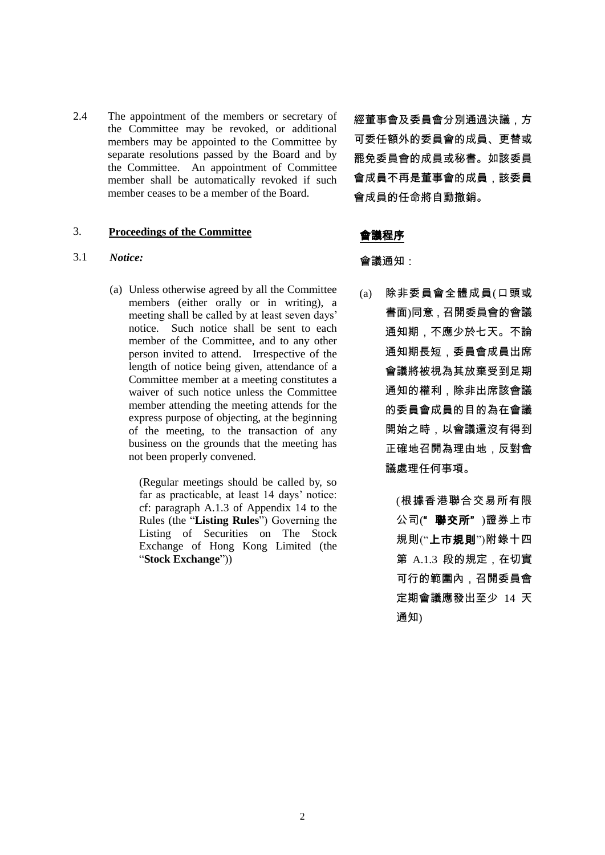2.4 The appointment of the members or secretary of the Committee may be revoked, or additional members may be appointed to the Committee by separate resolutions passed by the Board and by the Committee. An appointment of Committee member shall be automatically revoked if such member ceases to be a member of the Board.

## 3. **Proceedings of the Committee** 會議程序

## 3.1 *Notice:* 會議通知:

(a) Unless otherwise agreed by all the Committee members (either orally or in writing), a meeting shall be called by at least seven days' notice. Such notice shall be sent to each member of the Committee, and to any other person invited to attend. Irrespective of the length of notice being given, attendance of a Committee member at a meeting constitutes a waiver of such notice unless the Committee member attending the meeting attends for the express purpose of objecting, at the beginning of the meeting, to the transaction of any business on the grounds that the meeting has not been properly convened.

> (Regular meetings should be called by, so far as practicable, at least 14 days' notice: cf: paragraph A.1.3 of Appendix 14 to the Rules (the "**Listing Rules**") Governing the Listing of Securities on The Stock Exchange of Hong Kong Limited (the "**Stock Exchange**"))

經董事會及委員會分別通過決議,方 可委任額外的委員會的成員、更替或 罷免委員會的成員或秘書。如該委員 會成員不再是董事會的成員,該委員 會成員的任命將自動撤銷。

(a) 除非委員會全體成員(口頭或 書面)同意,召開委員會的會議 通知期,不應少於七天。不論 通知期長短,委員會成員出席 會議將被視為其放棄受到足期 通知的權利,除非出席該會議 的委員會成員的目的為在會議 開始之時,以會議還沒有得到 正確地召開為理由地,反對會 議處理任何事項。

> (根據香港聯合交易所有限 公司("聯交所")證券上市 規則("上市規則")附錄十四 第 A.1.3 段的規定,在切實 可行的範圍內,召開委員會 定期會議應發出至少 14 天 通知)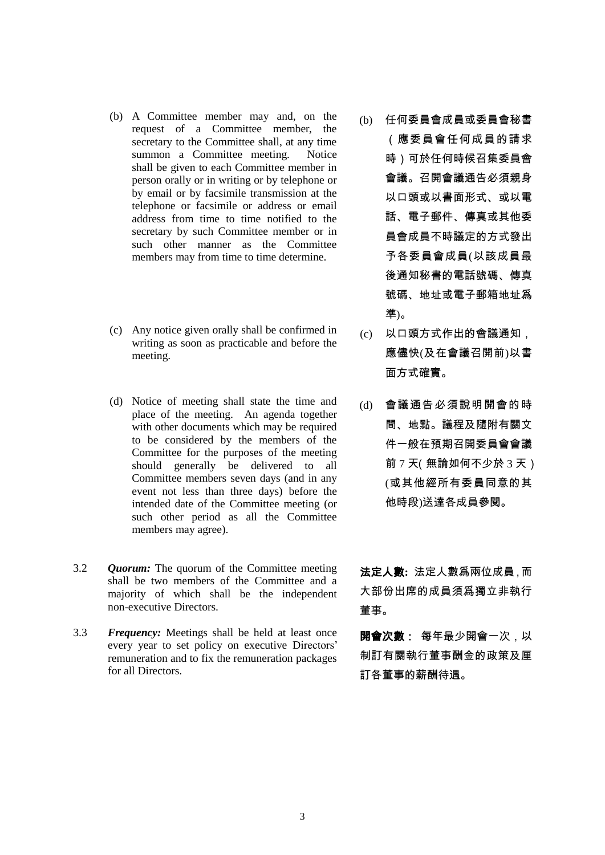- (b) A Committee member may and, on the request of a Committee member, the secretary to the Committee shall, at any time summon a Committee meeting. Notice shall be given to each Committee member in person orally or in writing or by telephone or by email or by facsimile transmission at the telephone or facsimile or address or email address from time to time notified to the secretary by such Committee member or in such other manner as the Committee members may from time to time determine.
- (c) Any notice given orally shall be confirmed in writing as soon as practicable and before the meeting.
- (d) Notice of meeting shall state the time and place of the meeting. An agenda together with other documents which may be required to be considered by the members of the Committee for the purposes of the meeting should generally be delivered to all Committee members seven days (and in any event not less than three days) before the intended date of the Committee meeting (or such other period as all the Committee members may agree).
- 3.2 *Quorum:* The quorum of the Committee meeting shall be two members of the Committee and a majority of which shall be the independent non-executive Directors.
- 3.3 *Frequency:* Meetings shall be held at least once every year to set policy on executive Directors' remuneration and to fix the remuneration packages for all Directors.
- (b) 任何委員會成員或委員會秘書 (應委員會任何成員的請求 時)可於任何時候召集委員會 會議。召開會議通告必須親身 以口頭或以書面形式、或以電 話、電子郵件、傳真或其他委 員會成員不時議定的方式發出 予各委員會成員(以該成員最 後通知秘書的電話號碼、傳真 號碼、地址或電子郵箱地址爲 準)。
- (c) 以口頭方式作出的會議通知, 應儘快(及在會議召開前)以書 面方式確實。
- (d) 會議通告必須說明開會的時 間、地點。議程及隨附有關文 件一般在預期召開委員會會議 前 7 天(無論如何不少於 3 天) (或其他經所有委員同意的其 他時段)送達各成員參閱。

法定人數**:** 法定人數爲兩位成員,而 大部份出席的成員須爲獨立非執行 董事。

開會次數: 每年最少開會一次,以 制訂有關執行董事酬金的政策及厘 訂各董事的薪酬待遇。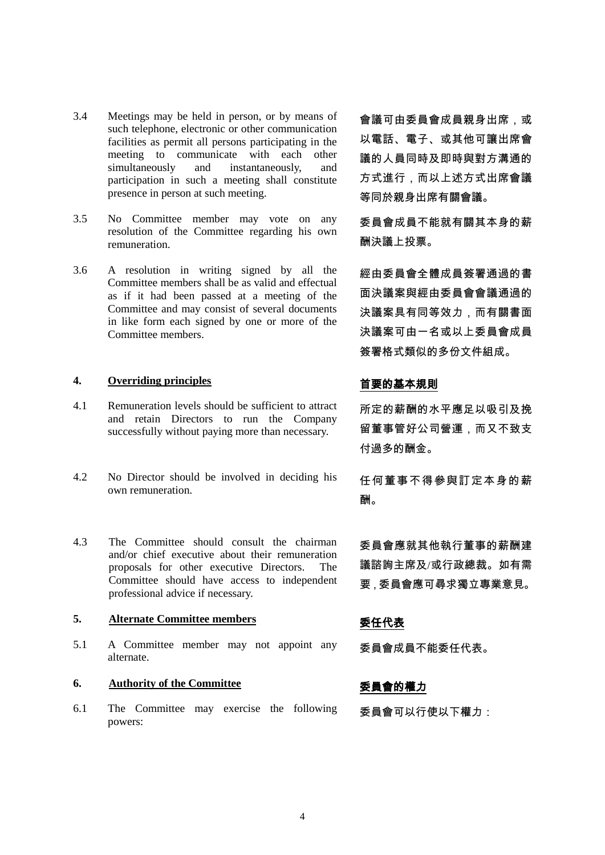- 3.4 Meetings may be held in person, or by means of such telephone, electronic or other communication facilities as permit all persons participating in the meeting to communicate with each other simultaneously and instantaneously, and participation in such a meeting shall constitute presence in person at such meeting.
- 3.5 No Committee member may vote on any resolution of the Committee regarding his own remuneration.
- 3.6 A resolution in writing signed by all the Committee members shall be as valid and effectual as if it had been passed at a meeting of the Committee and may consist of several documents in like form each signed by one or more of the Committee members.

## **4. Overriding principles** 首要的基本規則

- 4.1 Remuneration levels should be sufficient to attract and retain Directors to run the Company successfully without paying more than necessary.
- 4.2 No Director should be involved in deciding his own remuneration.
- 4.3 The Committee should consult the chairman and/or chief executive about their remuneration proposals for other executive Directors. The Committee should have access to independent professional advice if necessary.

## **5. Alternate Committee members** 委任代表

5.1 A Committee member may not appoint any alternate.

## **6. Authority of the Committee** 委員會的權力

6.1 The Committee may exercise the following powers:

會議可由委員會成員親身出席,或 以電話、電子、或其他可讓出席會 議的人員同時及即時與對方溝通的 方式進行,而以上述方式出席會議 等同於親身出席有關會議。

委員會成員不能就有關其本身的薪 酬決議上投票。

經由委員會全體成員簽署通過的書 面決議案與經由委員會會議通過的 決議案具有同等效力,而有關書面 決議案可由一名或以上委員會成員 簽署格式類似的多份文件組成。

所定的薪酬的水平應足以吸引及挽 留董事管好公司營運,而又不致支 付過多的酬金。

任何董事不得參與訂定本身的薪 酬。

委員會應就其他執行董事的薪酬建 議諮詢主席及/或行政總裁。如有需 要,委員會應可尋求獨立專業意見。

委員會成員不能委任代表。

委員會可以行使以下權力: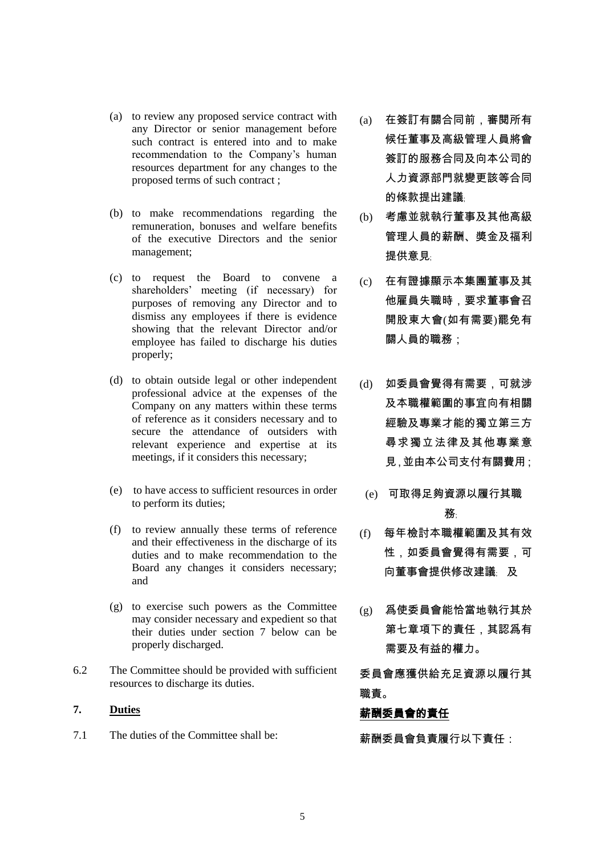- (a) to review any proposed service contract with any Director or senior management before such contract is entered into and to make recommendation to the Company's human resources department for any changes to the proposed terms of such contract ;
- (b) to make recommendations regarding the remuneration, bonuses and welfare benefits of the executive Directors and the senior management;
- (c) to request the Board to convene a shareholders' meeting (if necessary) for purposes of removing any Director and to dismiss any employees if there is evidence showing that the relevant Director and/or employee has failed to discharge his duties properly;
- (d) to obtain outside legal or other independent professional advice at the expenses of the Company on any matters within these terms of reference as it considers necessary and to secure the attendance of outsiders with relevant experience and expertise at its meetings, if it considers this necessary;
- (e) to have access to sufficient resources in order to perform its duties;
- (f) to review annually these terms of reference and their effectiveness in the discharge of its duties and to make recommendation to the Board any changes it considers necessary; and
- (g) to exercise such powers as the Committee may consider necessary and expedient so that their duties under section 7 below can be properly discharged.
- 6.2 The Committee should be provided with sufficient resources to discharge its duties.

7.1 The duties of the Committee shall be: 薪酬委員會負責履行以下責任:

- (a) 在簽訂有關合同前,審閱所有 候任董事及高級管理人員將會 簽訂的服務合同及向本公司的 人力資源部門就變更該等合同 的條款提出建議﹔
- (b) 考慮並就執行董事及其他高級 管理人員的薪酬、奬金及福利 提供意見
- (c) 在有證據顯示本集團董事及其 他雇員失職時,要求董事會召 開股東大會(如有需要)罷免有 關人員的職務;
- (d) 如委員會覺得有需要,可就涉 及本職權範圍的事宜向有相關 經驗及專業才能的獨立第三方 尋求獨立法律及其他專業意 見,並由本公司支付有關費用;
	- (e) 可取得足夠資源以履行其職 務﹔
- (f) 每年檢討本職權範圍及其有效 性,如委員會覺得有需要,可 向董事會提供修改建議﹔ 及
- (g) 爲使委員會能恰當地執行其於 第七章項下的責任,其認爲有 需要及有益的權力。

委員會應獲供給充足資源以履行其 職責。

# 7. Duties **buties buties http://www.facebook.com/default/buties/default/buties/default/buties/default/buties/default/buties/default/buties/default/buties/default/buties/default/buties/default/buties/default/buties/def**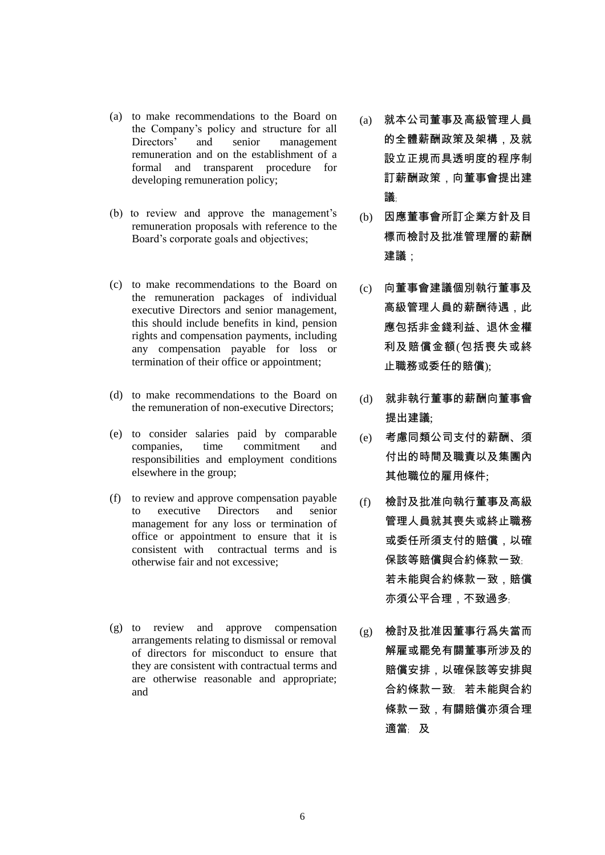- (a) to make recommendations to the Board on the Company's policy and structure for all Directors' and senior management remuneration and on the establishment of a formal and transparent procedure for developing remuneration policy;
- (b) to review and approve the management's remuneration proposals with reference to the Board's corporate goals and objectives;
- (c) to make recommendations to the Board on the remuneration packages of individual executive Directors and senior management, this should include benefits in kind, pension rights and compensation payments, including any compensation payable for loss or termination of their office or appointment;
- (d) to make recommendations to the Board on the remuneration of non-executive Directors;
- (e) to consider salaries paid by comparable companies, time commitment and responsibilities and employment conditions elsewhere in the group;
- (f) to review and approve compensation payable to executive Directors and senior management for any loss or termination of office or appointment to ensure that it is consistent with contractual terms and is otherwise fair and not excessive;
- (g) to review and approve compensation arrangements relating to dismissal or removal of directors for misconduct to ensure that they are consistent with contractual terms and are otherwise reasonable and appropriate; and
- (a) 就本公司董事及高級管理人員 的全體薪酬政策及架構,及就 設立正規而具透明度的程序制 訂薪酬政策,向董事會提出建 議﹔
- (b) 因應董事會所訂企業方針及目 標而檢討及批准管理層的薪酬 建議;
- (c) 向董事會建議個別執行董事及 高級管理人員的薪酬待遇,此 應包括非金錢利益、退休金權 利及賠償金額(包括喪失或終 止職務或委任的賠償);
- (d) 就非執行董事的薪酬向董事會 提出建議;
- (e) 考慮同類公司支付的薪酬、須 付出的時間及職責以及集團內 其他職位的雇用條件;
- (f) 檢討及批准向執行董事及高級 管理人員就其喪失或終止職務 或委任所須支付的賠償,以確 保該等賠償與合約條款一致 若未能與合約條款一致,賠償 亦須公平合理,不致過多
- (g) 檢討及批准因董事行爲失當而 解雇或罷免有關董事所涉及的 賠償安排,以確保該等安排與 合約條款一致﹔ 若未能與合約 條款一致,有關賠償亦須合理 適當﹔ 及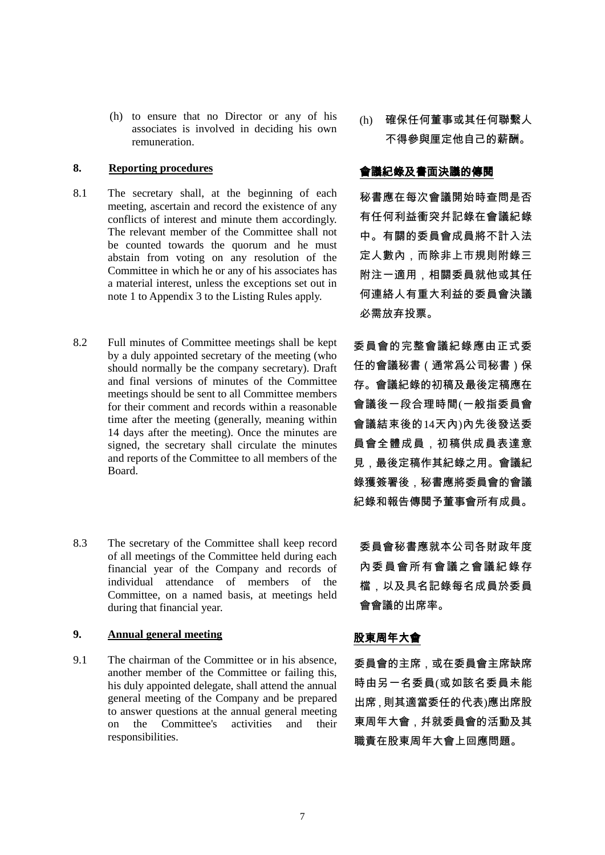(h) to ensure that no Director or any of his associates is involved in deciding his own remuneration.

## **8. Reporting procedures** 會議紀錄及書面決議的傳閱

- 8.1 The secretary shall, at the beginning of each meeting, ascertain and record the existence of any conflicts of interest and minute them accordingly. The relevant member of the Committee shall not be counted towards the quorum and he must abstain from voting on any resolution of the Committee in which he or any of his associates has a material interest, unless the exceptions set out in note 1 to Appendix 3 to the Listing Rules apply.
- 8.2 Full minutes of Committee meetings shall be kept by a duly appointed secretary of the meeting (who should normally be the company secretary). Draft and final versions of minutes of the Committee meetings should be sent to all Committee members for their comment and records within a reasonable time after the meeting (generally, meaning within 14 days after the meeting). Once the minutes are signed, the secretary shall circulate the minutes and reports of the Committee to all members of the Board.
- 8.3 The secretary of the Committee shall keep record of all meetings of the Committee held during each financial year of the Company and records of individual attendance of members of the Committee, on a named basis, at meetings held during that financial year.

## **9. Annual general meeting https://www.profile.org/magnetics.com/magnetics.com/magnetics.com/magnetics.com/magnetics.com/magnetics.com/magnetics.com/magnetics.com/magnetics.com/magnetics.com/magnetics.com/magnetics.com/ma**

9.1 The chairman of the Committee or in his absence, another member of the Committee or failing this, his duly appointed delegate, shall attend the annual general meeting of the Company and be prepared to answer questions at the annual general meeting on the Committee's activities and their responsibilities.

(h) 確保任何董事或其任何聯繫人 不得參與厘定他自己的薪酬。

秘書應在每次會議開始時查問是否 有任何利益衝突幷記錄在會議紀錄 中。有關的委員會成員將不計入法 定人數內,而除非上市規則附錄三 附注一適用,相關委員就他或其任 何連絡人有重大利益的委員會決議 必需放弃投票。

委員會的完整會議紀錄應由正式委 任的會議秘書(通常爲公司秘書)保 存。會議紀錄的初稿及最後定稿應在 會議後一段合理時間(一般指委員會 會議結束後的14天內)內先後發送委 員會全體成員,初稿供成員表達意 見,最後定稿作其紀錄之用。會議紀 錄獲簽署後,秘書應將委員會的會議 紀錄和報告傳閱予董事會所有成員。

委員會秘書應就本公司各財政年度 內委員會所有會議之會議紀錄存 檔,以及具名記錄每名成員於委員 會會議的出席率。

委員會的主席,或在委員會主席缺席 時由另一名委員(或如該名委員未能 出席,則其適當委任的代表)應出席股 東周年大會,幷就委員會的活動及其 職責在股東周年大會上回應問題。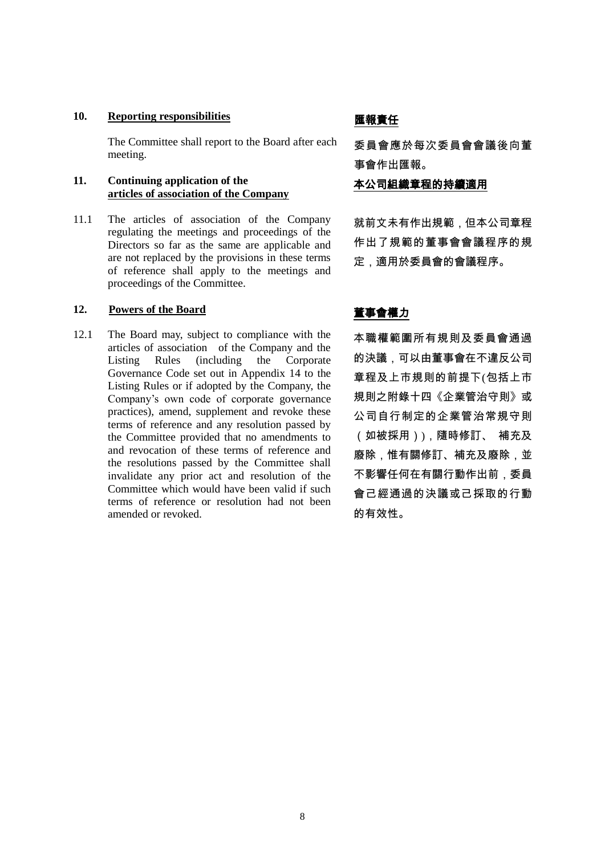## 10. Reporting responsibilities **the MED** 医報責任

The Committee shall report to the Board after each meeting.

### **11. Continuing application of the articles of association of the Company**

11.1 The articles of association of the Company regulating the meetings and proceedings of the Directors so far as the same are applicable and are not replaced by the provisions in these terms of reference shall apply to the meetings and proceedings of the Committee.

## 12. **Powers of the Board 董事會權力**

12.1 The Board may, subject to compliance with the articles of association of the Company and the Listing Rules (including the Corporate Governance Code set out in Appendix 14 to the Listing Rules or if adopted by the Company, the Company's own code of corporate governance practices), amend, supplement and revoke these terms of reference and any resolution passed by the Committee provided that no amendments to and revocation of these terms of reference and the resolutions passed by the Committee shall invalidate any prior act and resolution of the Committee which would have been valid if such terms of reference or resolution had not been amended or revoked.

委員會應於每次委員會會議後向董 事會作出匯報。

本公司組織章程的持續適用

就前文未有作出規範,但本公司章程 作出了規範的董事會會議程序的規 定,適用於委員會的會議程序。

本職權範圍所有規則及委員會通過 的決議,可以由董事會在不違反公司 章程及上市規則的前提下(包括上市 規則之附錄十四《企業管治守則》或 公司自行制定的企業管治常規守則 (如被採用)),隨時修訂、 補充及 廢除,惟有關修訂、補充及廢除,並 不影響任何在有關行動作出前,委員 會己經通過的決議或己採取的行動 的有效性。